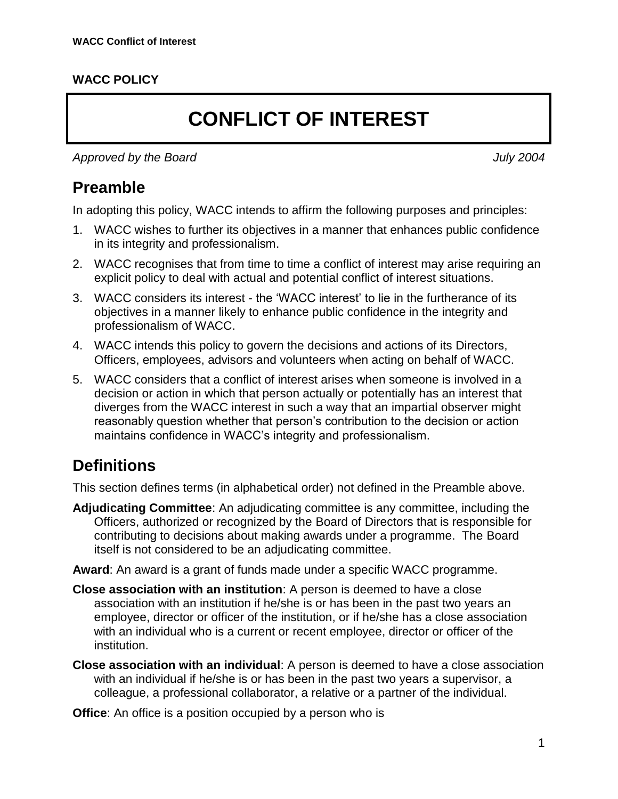#### **WACC POLICY**

# **CONFLICT OF INTEREST**

*Approved by the Board July 2004*

# **Preamble**

In adopting this policy, WACC intends to affirm the following purposes and principles:

- 1. WACC wishes to further its objectives in a manner that enhances public confidence in its integrity and professionalism.
- 2. WACC recognises that from time to time a conflict of interest may arise requiring an explicit policy to deal with actual and potential conflict of interest situations.
- 3. WACC considers its interest the 'WACC interest' to lie in the furtherance of its objectives in a manner likely to enhance public confidence in the integrity and professionalism of WACC.
- 4. WACC intends this policy to govern the decisions and actions of its Directors, Officers, employees, advisors and volunteers when acting on behalf of WACC.
- 5. WACC considers that a conflict of interest arises when someone is involved in a decision or action in which that person actually or potentially has an interest that diverges from the WACC interest in such a way that an impartial observer might reasonably question whether that person's contribution to the decision or action maintains confidence in WACC's integrity and professionalism.

# **Definitions**

This section defines terms (in alphabetical order) not defined in the Preamble above.

- **Adjudicating Committee**: An adjudicating committee is any committee, including the Officers, authorized or recognized by the Board of Directors that is responsible for contributing to decisions about making awards under a programme. The Board itself is not considered to be an adjudicating committee.
- **Award**: An award is a grant of funds made under a specific WACC programme.
- **Close association with an institution**: A person is deemed to have a close association with an institution if he/she is or has been in the past two years an employee, director or officer of the institution, or if he/she has a close association with an individual who is a current or recent employee, director or officer of the institution.
- **Close association with an individual**: A person is deemed to have a close association with an individual if he/she is or has been in the past two years a supervisor, a colleague, a professional collaborator, a relative or a partner of the individual.

**Office:** An office is a position occupied by a person who is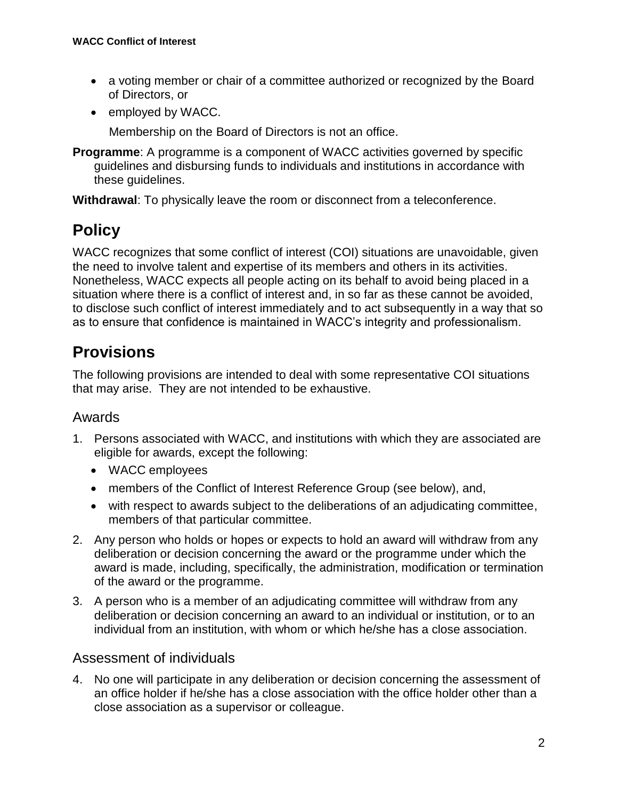- a voting member or chair of a committee authorized or recognized by the Board of Directors, or
- employed by WACC.

Membership on the Board of Directors is not an office.

**Programme:** A programme is a component of WACC activities governed by specific guidelines and disbursing funds to individuals and institutions in accordance with these guidelines.

**Withdrawal**: To physically leave the room or disconnect from a teleconference.

# **Policy**

WACC recognizes that some conflict of interest (COI) situations are unavoidable, given the need to involve talent and expertise of its members and others in its activities. Nonetheless, WACC expects all people acting on its behalf to avoid being placed in a situation where there is a conflict of interest and, in so far as these cannot be avoided, to disclose such conflict of interest immediately and to act subsequently in a way that so as to ensure that confidence is maintained in WACC's integrity and professionalism.

# **Provisions**

The following provisions are intended to deal with some representative COI situations that may arise. They are not intended to be exhaustive.

## Awards

- 1. Persons associated with WACC, and institutions with which they are associated are eligible for awards, except the following:
	- WACC employees
	- members of the Conflict of Interest Reference Group (see below), and,
	- with respect to awards subject to the deliberations of an adjudicating committee, members of that particular committee.
- 2. Any person who holds or hopes or expects to hold an award will withdraw from any deliberation or decision concerning the award or the programme under which the award is made, including, specifically, the administration, modification or termination of the award or the programme.
- 3. A person who is a member of an adjudicating committee will withdraw from any deliberation or decision concerning an award to an individual or institution, or to an individual from an institution, with whom or which he/she has a close association.

## Assessment of individuals

4. No one will participate in any deliberation or decision concerning the assessment of an office holder if he/she has a close association with the office holder other than a close association as a supervisor or colleague.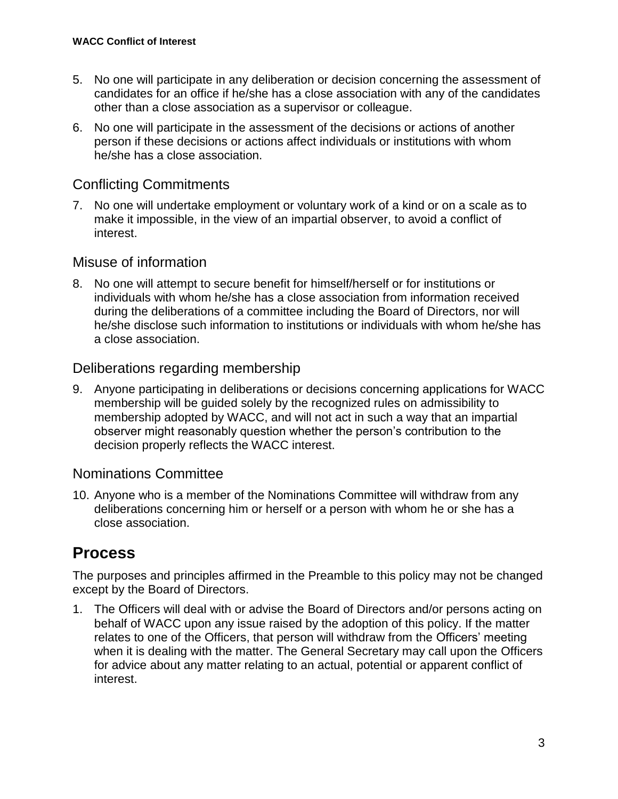- 5. No one will participate in any deliberation or decision concerning the assessment of candidates for an office if he/she has a close association with any of the candidates other than a close association as a supervisor or colleague.
- 6. No one will participate in the assessment of the decisions or actions of another person if these decisions or actions affect individuals or institutions with whom he/she has a close association.

## Conflicting Commitments

7. No one will undertake employment or voluntary work of a kind or on a scale as to make it impossible, in the view of an impartial observer, to avoid a conflict of interest.

## Misuse of information

8. No one will attempt to secure benefit for himself/herself or for institutions or individuals with whom he/she has a close association from information received during the deliberations of a committee including the Board of Directors, nor will he/she disclose such information to institutions or individuals with whom he/she has a close association.

## Deliberations regarding membership

9. Anyone participating in deliberations or decisions concerning applications for WACC membership will be guided solely by the recognized rules on admissibility to membership adopted by WACC, and will not act in such a way that an impartial observer might reasonably question whether the person's contribution to the decision properly reflects the WACC interest.

## Nominations Committee

10. Anyone who is a member of the Nominations Committee will withdraw from any deliberations concerning him or herself or a person with whom he or she has a close association.

# **Process**

The purposes and principles affirmed in the Preamble to this policy may not be changed except by the Board of Directors.

1. The Officers will deal with or advise the Board of Directors and/or persons acting on behalf of WACC upon any issue raised by the adoption of this policy. If the matter relates to one of the Officers, that person will withdraw from the Officers' meeting when it is dealing with the matter. The General Secretary may call upon the Officers for advice about any matter relating to an actual, potential or apparent conflict of interest.